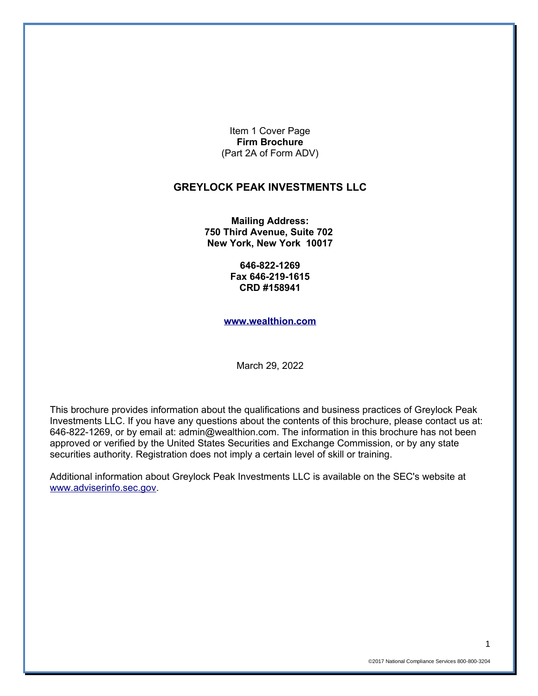Item 1 Cover Page **Firm Brochure** (Part 2A of Form ADV)

#### **GREYLOCK PEAK INVESTMENTS LLC**

**Mailing Address: 750 Third Avenue, Suite 702 New York, New York 10017**

> **646-822-1269 Fax 646-219-1615 CRD #158941**

**[www.wealthion.com](http://www.wealthion.com/)**

March 29, 2022

This brochure provides information about the qualifications and business practices of Greylock Peak Investments LLC. If you have any questions about the contents of this brochure, please contact us at: 646-822-1269, or by email at: admin@wealthion.com. The information in this brochure has not been approved or verified by the United States Securities and Exchange Commission, or by any state securities authority. Registration does not imply a certain level of skill or training.

Additional information about Greylock Peak Investments LLC is available on the SEC's website at [www.adviserinfo.sec.gov.](http://www.adviserinfo.sec.gov/)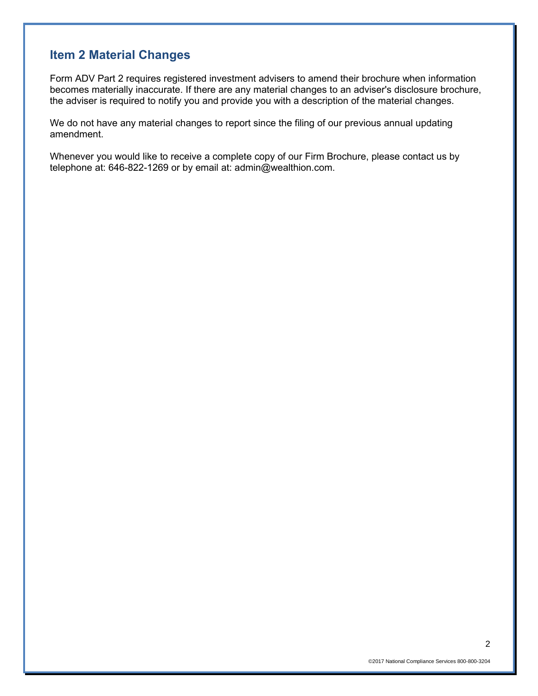### **Item 2 Material Changes**

Form ADV Part 2 requires registered investment advisers to amend their brochure when information becomes materially inaccurate. If there are any material changes to an adviser's disclosure brochure, the adviser is required to notify you and provide you with a description of the material changes.

We do not have any material changes to report since the filing of our previous annual updating amendment.

Whenever you would like to receive a complete copy of our Firm Brochure, please contact us by telephone at: 646-822-1269 or by email at: admin@wealthion.com.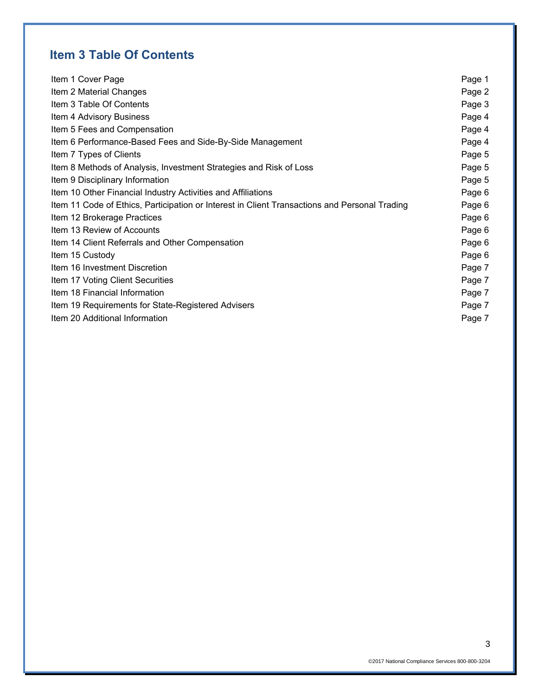# **Item 3 Table Of Contents**

| Item 1 Cover Page                                                                             | Page 1 |
|-----------------------------------------------------------------------------------------------|--------|
| Item 2 Material Changes                                                                       | Page 2 |
| Item 3 Table Of Contents                                                                      | Page 3 |
| Item 4 Advisory Business                                                                      | Page 4 |
| Item 5 Fees and Compensation                                                                  | Page 4 |
| Item 6 Performance-Based Fees and Side-By-Side Management                                     | Page 4 |
| Item 7 Types of Clients                                                                       | Page 5 |
| Item 8 Methods of Analysis, Investment Strategies and Risk of Loss                            | Page 5 |
| Item 9 Disciplinary Information                                                               | Page 5 |
| Item 10 Other Financial Industry Activities and Affiliations                                  | Page 6 |
| Item 11 Code of Ethics, Participation or Interest in Client Transactions and Personal Trading | Page 6 |
| Item 12 Brokerage Practices                                                                   | Page 6 |
| Item 13 Review of Accounts                                                                    | Page 6 |
| Item 14 Client Referrals and Other Compensation                                               | Page 6 |
| Item 15 Custody                                                                               | Page 6 |
| Item 16 Investment Discretion                                                                 | Page 7 |
| Item 17 Voting Client Securities                                                              | Page 7 |
| Item 18 Financial Information                                                                 | Page 7 |
| Item 19 Requirements for State-Registered Advisers                                            | Page 7 |
| Item 20 Additional Information                                                                | Page 7 |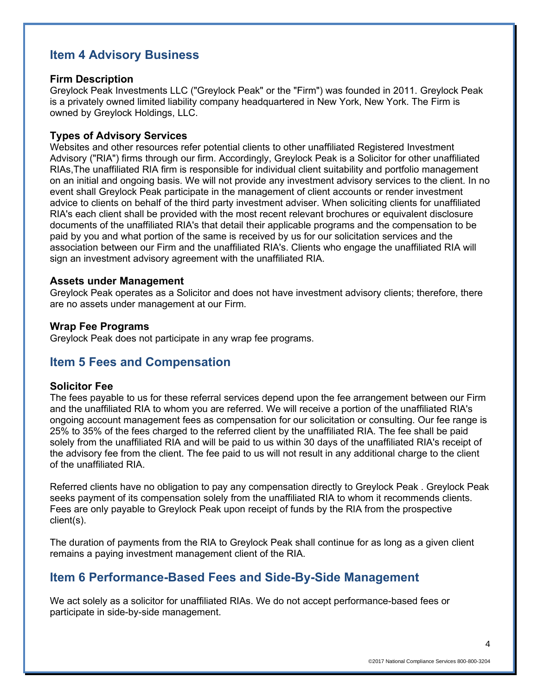## **Item 4 Advisory Business**

#### **Firm Description**

Greylock Peak Investments LLC ("Greylock Peak" or the "Firm") was founded in 2011. Greylock Peak is a privately owned limited liability company headquartered in New York, New York. The Firm is owned by Greylock Holdings, LLC.

### **Types of Advisory Services**

Websites and other resources refer potential clients to other unaffiliated Registered Investment Advisory ("RIA") firms through our firm. Accordingly, Greylock Peak is a Solicitor for other unaffiliated RIAs,The unaffiliated RIA firm is responsible for individual client suitability and portfolio management on an initial and ongoing basis. We will not provide any investment advisory services to the client. In no event shall Greylock Peak participate in the management of client accounts or render investment advice to clients on behalf of the third party investment adviser. When soliciting clients for unaffiliated RIA's each client shall be provided with the most recent relevant brochures or equivalent disclosure documents of the unaffiliated RIA's that detail their applicable programs and the compensation to be paid by you and what portion of the same is received by us for our solicitation services and the association between our Firm and the unaffiliated RIA's. Clients who engage the unaffiliated RIA will sign an investment advisory agreement with the unaffiliated RIA.

#### **Assets under Management**

Greylock Peak operates as a Solicitor and does not have investment advisory clients; therefore, there are no assets under management at our Firm.

#### **Wrap Fee Programs**

Greylock Peak does not participate in any wrap fee programs.

### **Item 5 Fees and Compensation**

#### **Solicitor Fee**

The fees payable to us for these referral services depend upon the fee arrangement between our Firm and the unaffiliated RIA to whom you are referred. We will receive a portion of the unaffiliated RIA's ongoing account management fees as compensation for our solicitation or consulting. Our fee range is 25% to 35% of the fees charged to the referred client by the unaffiliated RIA. The fee shall be paid solely from the unaffiliated RIA and will be paid to us within 30 days of the unaffiliated RIA's receipt of the advisory fee from the client. The fee paid to us will not result in any additional charge to the client of the unaffiliated RIA.

Referred clients have no obligation to pay any compensation directly to Greylock Peak . Greylock Peak seeks payment of its compensation solely from the unaffiliated RIA to whom it recommends clients. Fees are only payable to Greylock Peak upon receipt of funds by the RIA from the prospective client(s).

The duration of payments from the RIA to Greylock Peak shall continue for as long as a given client remains a paying investment management client of the RIA.

## **Item 6 Performance-Based Fees and Side-By-Side Management**

We act solely as a solicitor for unaffiliated RIAs. We do not accept performance-based fees or participate in side-by-side management.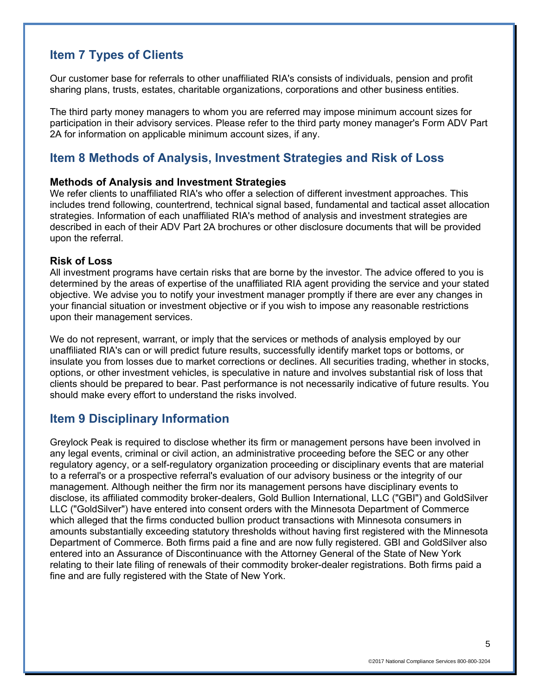## **Item 7 Types of Clients**

Our customer base for referrals to other unaffiliated RIA's consists of individuals, pension and profit sharing plans, trusts, estates, charitable organizations, corporations and other business entities.

The third party money managers to whom you are referred may impose minimum account sizes for participation in their advisory services. Please refer to the third party money manager's Form ADV Part 2A for information on applicable minimum account sizes, if any.

## **Item 8 Methods of Analysis, Investment Strategies and Risk of Loss**

#### **Methods of Analysis and Investment Strategies**

We refer clients to unaffiliated RIA's who offer a selection of different investment approaches. This includes trend following, countertrend, technical signal based, fundamental and tactical asset allocation strategies. Information of each unaffiliated RIA's method of analysis and investment strategies are described in each of their ADV Part 2A brochures or other disclosure documents that will be provided upon the referral.

### **Risk of Loss**

All investment programs have certain risks that are borne by the investor. The advice offered to you is determined by the areas of expertise of the unaffiliated RIA agent providing the service and your stated objective. We advise you to notify your investment manager promptly if there are ever any changes in your financial situation or investment objective or if you wish to impose any reasonable restrictions upon their management services.

We do not represent, warrant, or imply that the services or methods of analysis employed by our unaffiliated RIA's can or will predict future results, successfully identify market tops or bottoms, or insulate you from losses due to market corrections or declines. All securities trading, whether in stocks, options, or other investment vehicles, is speculative in nature and involves substantial risk of loss that clients should be prepared to bear. Past performance is not necessarily indicative of future results. You should make every effort to understand the risks involved.

### **Item 9 Disciplinary Information**

Greylock Peak is required to disclose whether its firm or management persons have been involved in any legal events, criminal or civil action, an administrative proceeding before the SEC or any other regulatory agency, or a self-regulatory organization proceeding or disciplinary events that are material to a referral's or a prospective referral's evaluation of our advisory business or the integrity of our management. Although neither the firm nor its management persons have disciplinary events to disclose, its affiliated commodity broker-dealers, Gold Bullion International, LLC ("GBI") and GoldSilver LLC ("GoldSilver") have entered into consent orders with the Minnesota Department of Commerce which alleged that the firms conducted bullion product transactions with Minnesota consumers in amounts substantially exceeding statutory thresholds without having first registered with the Minnesota Department of Commerce. Both firms paid a fine and are now fully registered. GBI and GoldSilver also entered into an Assurance of Discontinuance with the Attorney General of the State of New York relating to their late filing of renewals of their commodity broker-dealer registrations. Both firms paid a fine and are fully registered with the State of New York.

5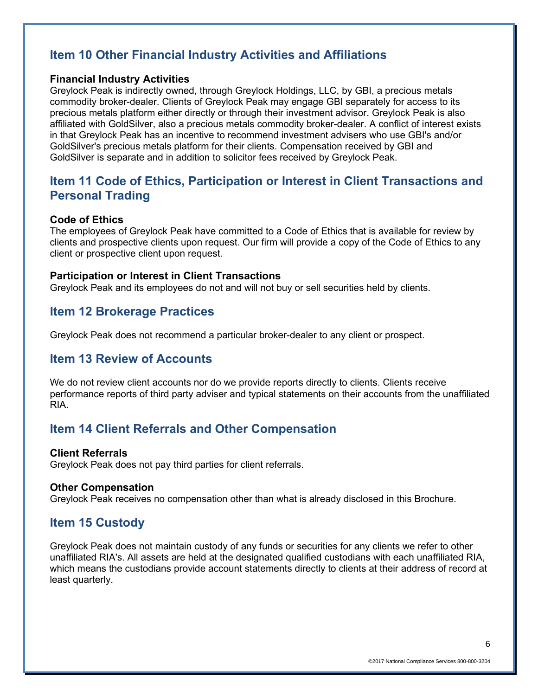# **Item 10 Other Financial Industry Activities and Affiliations**

### **Financial Industry Activities**

Greylock Peak is indirectly owned, through Greylock Holdings, LLC, by GBI, a precious metals commodity broker-dealer. Clients of Greylock Peak may engage GBI separately for access to its precious metals platform either directly or through their investment advisor. Greylock Peak is also affiliated with GoldSilver, also a precious metals commodity broker-dealer. A conflict of interest exists in that Greylock Peak has an incentive to recommend investment advisers who use GBI's and/or GoldSilver's precious metals platform for their clients. Compensation received by GBI and GoldSilver is separate and in addition to solicitor fees received by Greylock Peak.

## **Item 11 Code of Ethics, Participation or Interest in Client Transactions and Personal Trading**

### **Code of Ethics**

The employees of Greylock Peak have committed to a Code of Ethics that is available for review by clients and prospective clients upon request. Our firm will provide a copy of the Code of Ethics to any client or prospective client upon request.

### **Participation or Interest in Client Transactions**

Greylock Peak and its employees do not and will not buy or sell securities held by clients.

### **Item 12 Brokerage Practices**

Greylock Peak does not recommend a particular broker-dealer to any client or prospect.

### **Item 13 Review of Accounts**

We do not review client accounts nor do we provide reports directly to clients. Clients receive performance reports of third party adviser and typical statements on their accounts from the unaffiliated RIA.

## **Item 14 Client Referrals and Other Compensation**

#### **Client Referrals**

Greylock Peak does not pay third parties for client referrals.

#### **Other Compensation**

Greylock Peak receives no compensation other than what is already disclosed in this Brochure.

### **Item 15 Custody**

Greylock Peak does not maintain custody of any funds or securities for any clients we refer to other unaffiliated RIA's. All assets are held at the designated qualified custodians with each unaffiliated RIA, which means the custodians provide account statements directly to clients at their address of record at least quarterly.